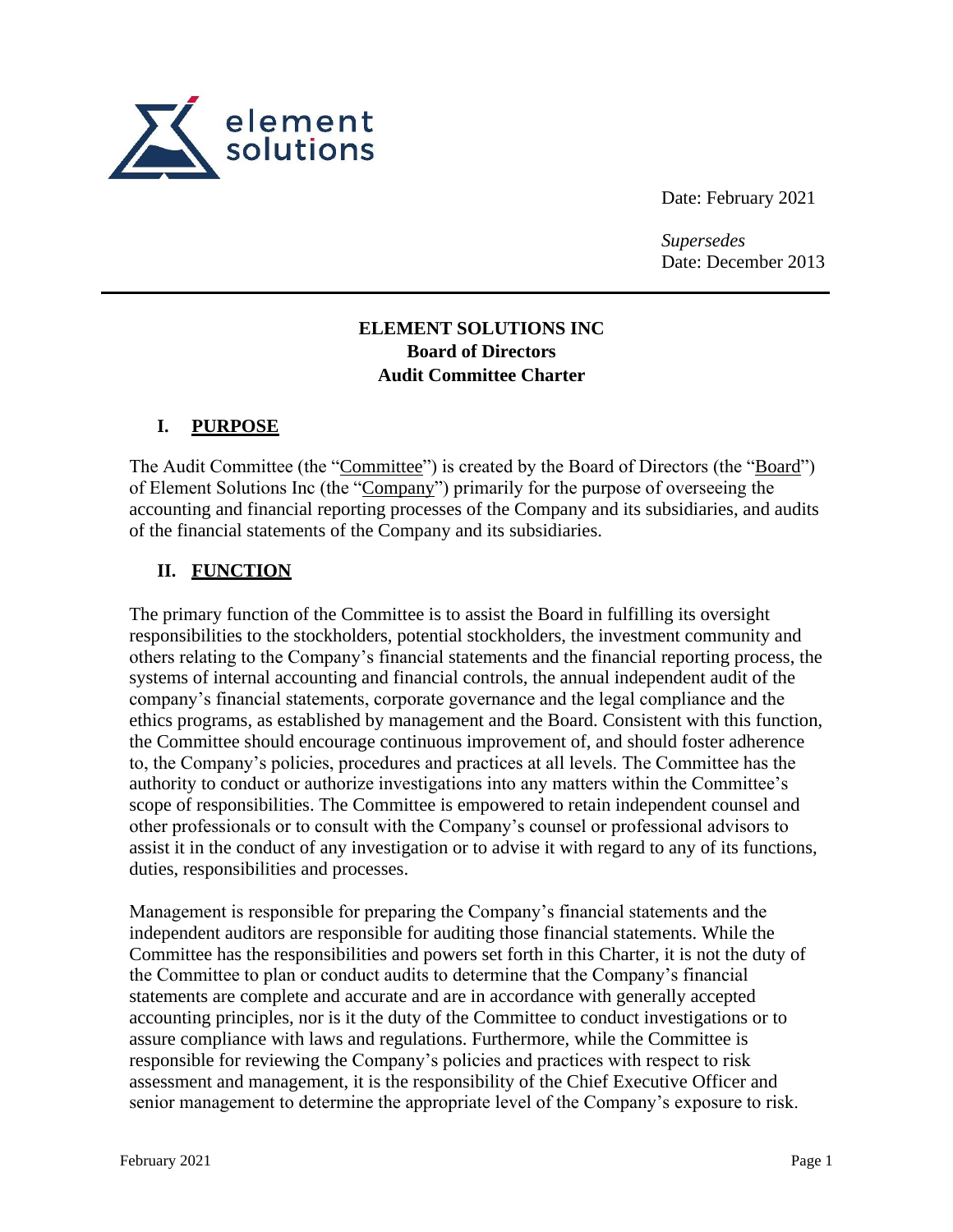

Date: February 2021

*Supersedes* Date: December 2013

# **ELEMENT SOLUTIONS INC Board of Directors Audit Committee Charter**

#### **I. PURPOSE**

The Audit Committee (the "Committee") is created by the Board of Directors (the "Board") of Element Solutions Inc (the "Company") primarily for the purpose of overseeing the accounting and financial reporting processes of the Company and its subsidiaries, and audits of the financial statements of the Company and its subsidiaries.

### **II. FUNCTION**

The primary function of the Committee is to assist the Board in fulfilling its oversight responsibilities to the stockholders, potential stockholders, the investment community and others relating to the Company's financial statements and the financial reporting process, the systems of internal accounting and financial controls, the annual independent audit of the company's financial statements, corporate governance and the legal compliance and the ethics programs, as established by management and the Board. Consistent with this function, the Committee should encourage continuous improvement of, and should foster adherence to, the Company's policies, procedures and practices at all levels. The Committee has the authority to conduct or authorize investigations into any matters within the Committee's scope of responsibilities. The Committee is empowered to retain independent counsel and other professionals or to consult with the Company's counsel or professional advisors to assist it in the conduct of any investigation or to advise it with regard to any of its functions, duties, responsibilities and processes.

Management is responsible for preparing the Company's financial statements and the independent auditors are responsible for auditing those financial statements. While the Committee has the responsibilities and powers set forth in this Charter, it is not the duty of the Committee to plan or conduct audits to determine that the Company's financial statements are complete and accurate and are in accordance with generally accepted accounting principles, nor is it the duty of the Committee to conduct investigations or to assure compliance with laws and regulations. Furthermore, while the Committee is responsible for reviewing the Company's policies and practices with respect to risk assessment and management, it is the responsibility of the Chief Executive Officer and senior management to determine the appropriate level of the Company's exposure to risk.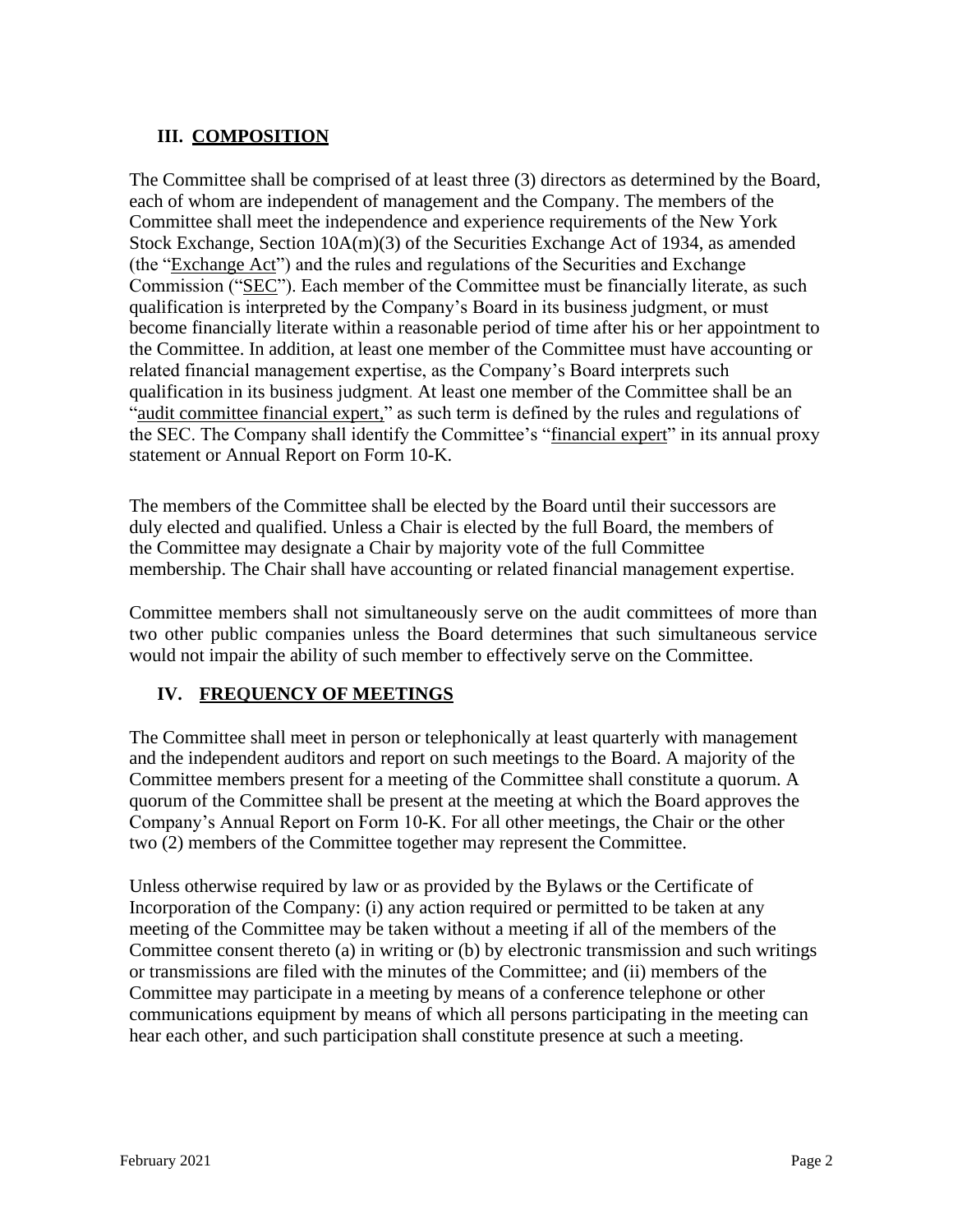# **III. COMPOSITION**

The Committee shall be comprised of at least three (3) directors as determined by the Board, each of whom are independent of management and the Company. The members of the Committee shall meet the independence and experience requirements of the New York Stock Exchange, Section  $10A(m)(3)$  of the Securities Exchange Act of 1934, as amended (the " $\frac{1}{2}$ Exchange Act") and the rules and regulations of the Securities and Exchange Commission ("SEC"). Each member of the Committee must be financially literate, as such qualification is interpreted by the Company's Board in its business judgment, or must become financially literate within a reasonable period of time after his or her appointment to the Committee. In addition, at least one member of the Committee must have accounting or related financial management expertise, as the Company's Board interprets such qualification in its business judgment. At least one member of the Committee shall be an "audit committee financial expert," as such term is defined by the rules and regulations of the SEC. The Company shall identify the Committee's "financial expert" in its annual proxy statement or Annual Report on Form 10-K.

The members of the Committee shall be elected by the Board until their successors are duly elected and qualified. Unless a Chair is elected by the full Board, the members of the Committee may designate a Chair by majority vote of the full Committee membership. The Chair shall have accounting or related financial management expertise.

Committee members shall not simultaneously serve on the audit committees of more than two other public companies unless the Board determines that such simultaneous service would not impair the ability of such member to effectively serve on the Committee.

# **IV. FREQUENCY OF MEETINGS**

The Committee shall meet in person or telephonically at least quarterly with management and the independent auditors and report on such meetings to the Board. A majority of the Committee members present for a meeting of the Committee shall constitute a quorum. A quorum of the Committee shall be present at the meeting at which the Board approves the Company's Annual Report on Form 10-K. For all other meetings, the Chair or the other two (2) members of the Committee together may represent the Committee.

Unless otherwise required by law or as provided by the Bylaws or the Certificate of Incorporation of the Company: (i) any action required or permitted to be taken at any meeting of the Committee may be taken without a meeting if all of the members of the Committee consent thereto (a) in writing or (b) by electronic transmission and such writings or transmissions are filed with the minutes of the Committee; and (ii) members of the Committee may participate in a meeting by means of a conference telephone or other communications equipment by means of which all persons participating in the meeting can hear each other, and such participation shall constitute presence at such a meeting.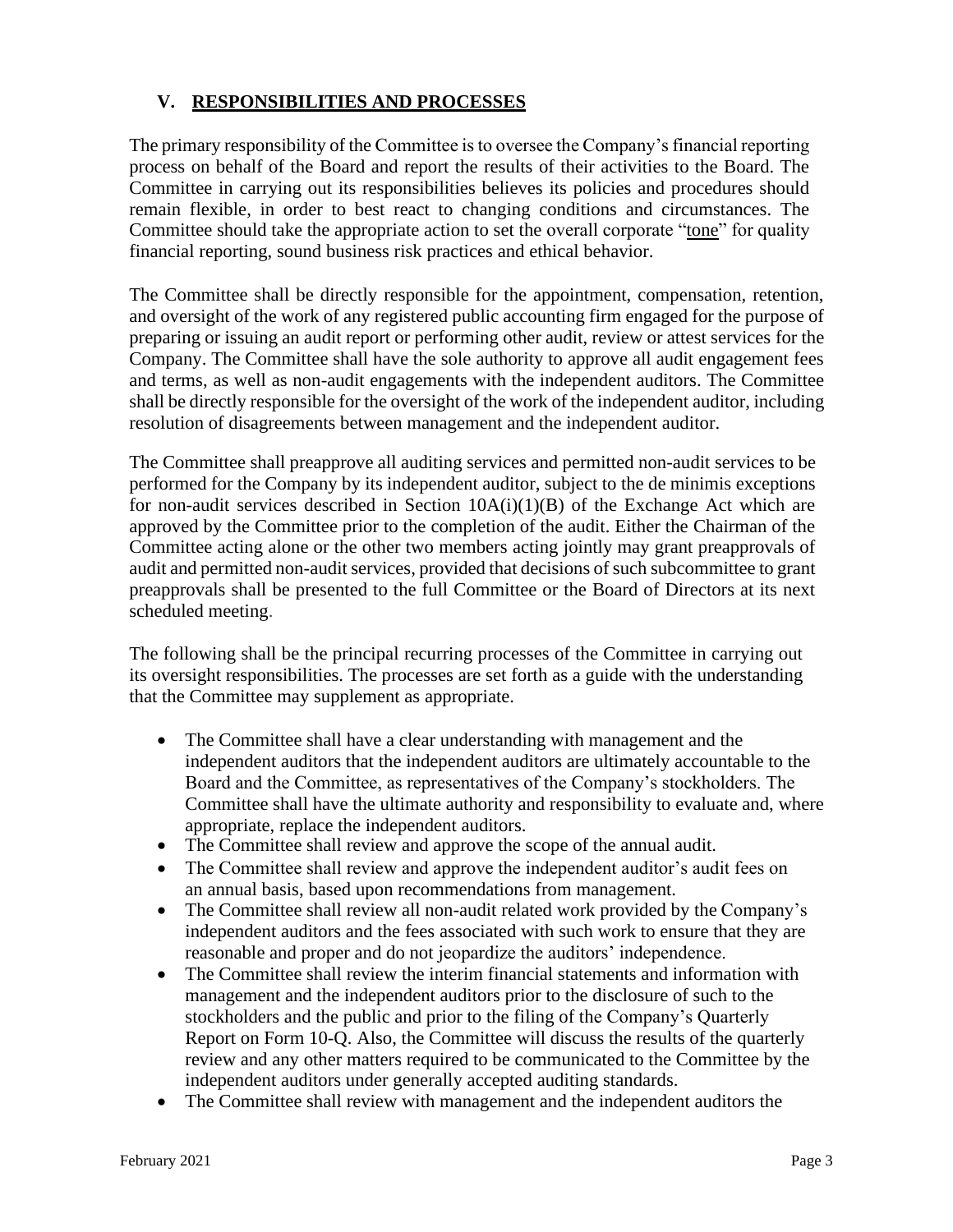### **V. RESPONSIBILITIES AND PROCESSES**

The primary responsibility of the Committee is to oversee the Company's financial reporting process on behalf of the Board and report the results of their activities to the Board. The Committee in carrying out its responsibilities believes its policies and procedures should remain flexible, in order to best react to changing conditions and circumstances. The Committee should take the appropriate action to set the overall corporate "tone" for quality financial reporting, sound business risk practices and ethical behavior.

The Committee shall be directly responsible for the appointment, compensation, retention, and oversight of the work of any registered public accounting firm engaged for the purpose of preparing or issuing an audit report or performing other audit, review or attest services for the Company. The Committee shall have the sole authority to approve all audit engagement fees and terms, as well as non-audit engagements with the independent auditors. The Committee shall be directly responsible for the oversight of the work of the independent auditor, including resolution of disagreements between management and the independent auditor.

The Committee shall preapprove all auditing services and permitted non-audit services to be performed for the Company by its independent auditor, subject to the de minimis exceptions for non-audit services described in Section  $10A(i)(1)(B)$  of the Exchange Act which are approved by the Committee prior to the completion of the audit. Either the Chairman of the Committee acting alone or the other two members acting jointly may grant preapprovals of audit and permitted non-audit services, provided that decisions of such subcommittee to grant preapprovals shall be presented to the full Committee or the Board of Directors at its next scheduled meeting.

The following shall be the principal recurring processes of the Committee in carrying out its oversight responsibilities. The processes are set forth as a guide with the understanding that the Committee may supplement as appropriate.

- The Committee shall have a clear understanding with management and the independent auditors that the independent auditors are ultimately accountable to the Board and the Committee, as representatives of the Company's stockholders. The Committee shall have the ultimate authority and responsibility to evaluate and, where appropriate, replace the independent auditors.
- The Committee shall review and approve the scope of the annual audit.
- The Committee shall review and approve the independent auditor's audit fees on an annual basis, based upon recommendations from management.
- The Committee shall review all non-audit related work provided by the Company's independent auditors and the fees associated with such work to ensure that they are reasonable and proper and do not jeopardize the auditors' independence.
- The Committee shall review the interim financial statements and information with management and the independent auditors prior to the disclosure of such to the stockholders and the public and prior to the filing of the Company's Quarterly Report on Form 10-Q. Also, the Committee will discuss the results of the quarterly review and any other matters required to be communicated to the Committee by the independent auditors under generally accepted auditing standards.
- The Committee shall review with management and the independent auditors the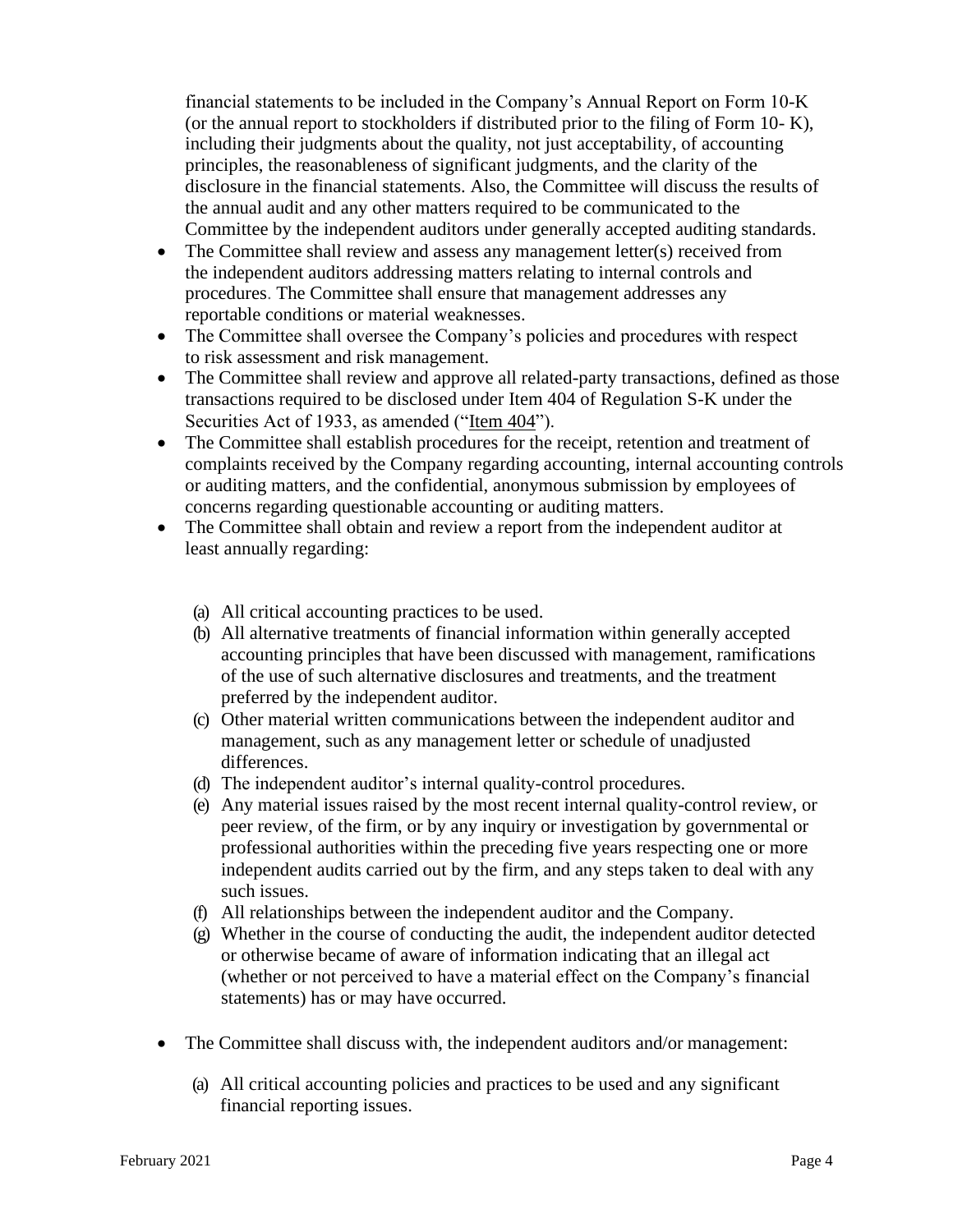financial statements to be included in the Company's Annual Report on Form 10-K (or the annual report to stockholders if distributed prior to the filing of Form 10- K), including their judgments about the quality, not just acceptability, of accounting principles, the reasonableness of significant judgments, and the clarity of the disclosure in the financial statements. Also, the Committee will discuss the results of the annual audit and any other matters required to be communicated to the Committee by the independent auditors under generally accepted auditing standards.

- The Committee shall review and assess any management letter(s) received from the independent auditors addressing matters relating to internal controls and procedures. The Committee shall ensure that management addresses any reportable conditions or material weaknesses.
- The Committee shall oversee the Company's policies and procedures with respect to risk assessment and risk management.
- The Committee shall review and approve all related-party transactions, defined as those transactions required to be disclosed under Item 404 of Regulation S-K under the Securities Act of 1933, as amended ("Item 404").
- The Committee shall establish procedures for the receipt, retention and treatment of complaints received by the Company regarding accounting, internal accounting controls or auditing matters, and the confidential, anonymous submission by employees of concerns regarding questionable accounting or auditing matters.
- The Committee shall obtain and review a report from the independent auditor at least annually regarding:
	- (a) All critical accounting practices to be used.
	- (b) All alternative treatments of financial information within generally accepted accounting principles that have been discussed with management, ramifications of the use of such alternative disclosures and treatments, and the treatment preferred by the independent auditor.
	- (c) Other material written communications between the independent auditor and management, such as any management letter or schedule of unadjusted differences.
	- (d) The independent auditor's internal quality-control procedures.
	- (e) Any material issues raised by the most recent internal quality-control review, or peer review, of the firm, or by any inquiry or investigation by governmental or professional authorities within the preceding five years respecting one or more independent audits carried out by the firm, and any steps taken to deal with any such issues.
	- (f) All relationships between the independent auditor and the Company.
	- (g) Whether in the course of conducting the audit, the independent auditor detected or otherwise became of aware of information indicating that an illegal act (whether or not perceived to have a material effect on the Company's financial statements) has or may have occurred.
- The Committee shall discuss with, the independent auditors and/or management:
	- (a) All critical accounting policies and practices to be used and any significant financial reporting issues.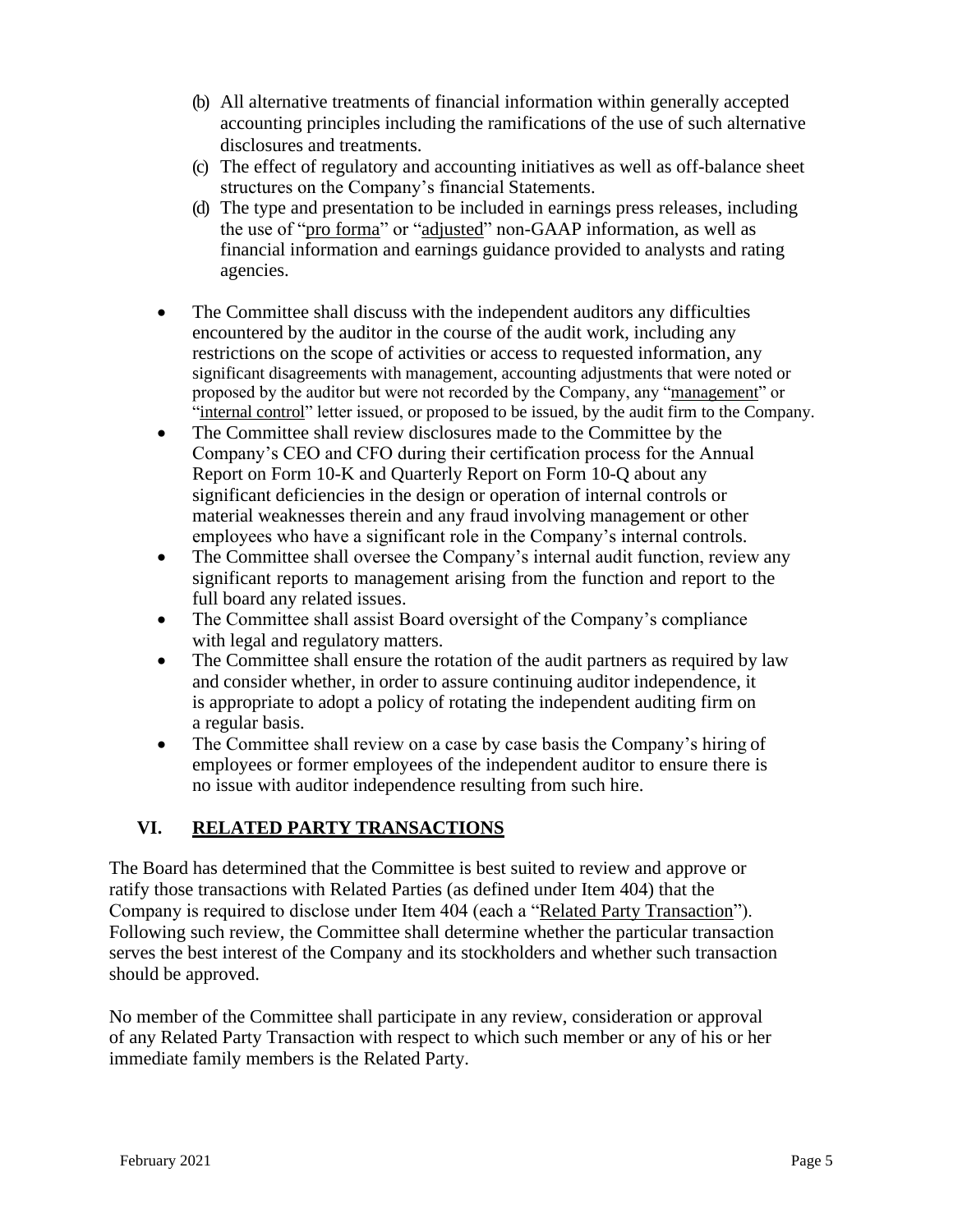- (b) All alternative treatments of financial information within generally accepted accounting principles including the ramifications of the use of such alternative disclosures and treatments.
- (c) The effect of regulatory and accounting initiatives as well as off-balance sheet structures on the Company's financial Statements.
- (d) The type and presentation to be included in earnings press releases, including the use of "pro forma" or "adjusted" non-GAAP information, as well as financial information and earnings guidance provided to analysts and rating agencies.
- The Committee shall discuss with the independent auditors any difficulties encountered by the auditor in the course of the audit work, including any restrictions on the scope of activities or access to requested information, any significant disagreements with management, accounting adjustments that were noted or proposed by the auditor but were not recorded by the Company, any "management" or "internal control" letter issued, or proposed to be issued, by the audit firm to the Company.
- The Committee shall review disclosures made to the Committee by the Company's CEO and CFO during their certification process for the Annual Report on Form 10-K and Quarterly Report on Form 10-Q about any significant deficiencies in the design or operation of internal controls or material weaknesses therein and any fraud involving management or other employees who have a significant role in the Company's internal controls.
- The Committee shall oversee the Company's internal audit function, review any significant reports to management arising from the function and report to the full board any related issues.
- The Committee shall assist Board oversight of the Company's compliance with legal and regulatory matters.
- The Committee shall ensure the rotation of the audit partners as required by law and consider whether, in order to assure continuing auditor independence, it is appropriate to adopt a policy of rotating the independent auditing firm on a regular basis.
- The Committee shall review on a case by case basis the Company's hiring of employees or former employees of the independent auditor to ensure there is no issue with auditor independence resulting from such hire.

# **VI. RELATED PARTY TRANSACTIONS**

The Board has determined that the Committee is best suited to review and approve or ratify those transactions with Related Parties (as defined under Item 404) that the Company is required to disclose under Item 404 (each a "Related Party Transaction"). Following such review, the Committee shall determine whether the particular transaction serves the best interest of the Company and its stockholders and whether such transaction should be approved.

No member of the Committee shall participate in any review, consideration or approval of any Related Party Transaction with respect to which such member or any of his or her immediate family members is the Related Party.